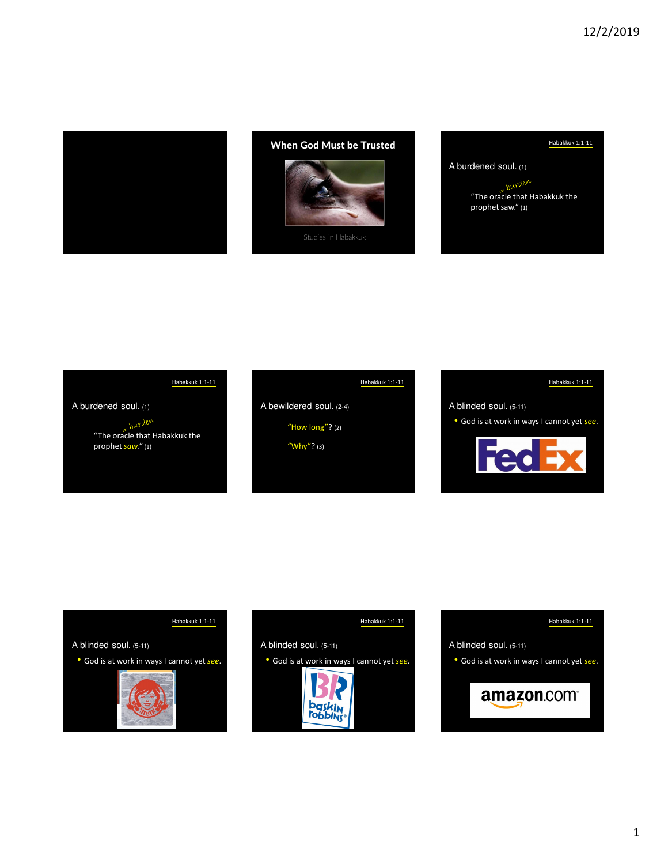

## When God Must be Trusted



## Habakkuk 1:1-11

A burdened soul. (1)

"The oracle that Habakkuk the prophet saw." (1)